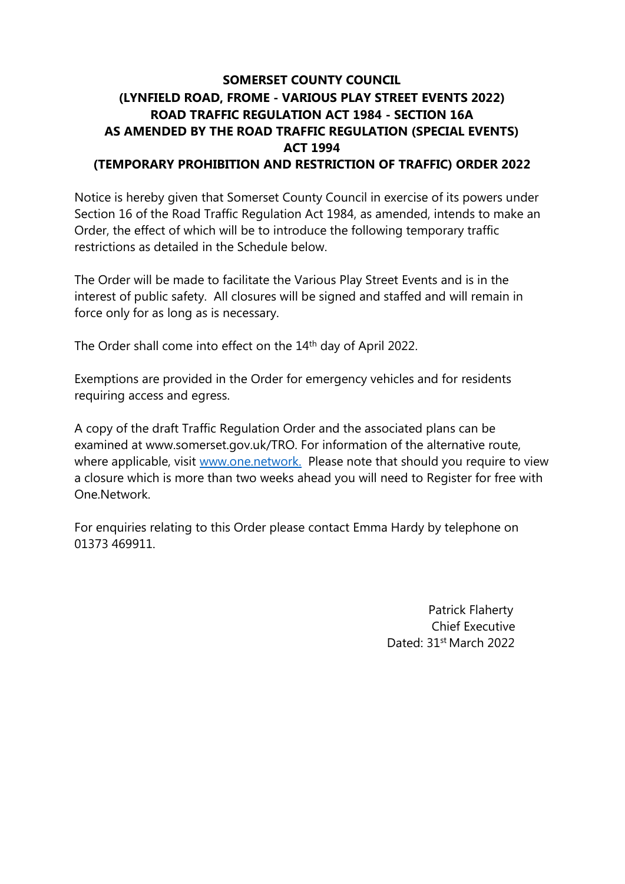## **SOMERSET COUNTY COUNCIL (LYNFIELD ROAD, FROME - VARIOUS PLAY STREET EVENTS 2022) ROAD TRAFFIC REGULATION ACT 1984 - SECTION 16A AS AMENDED BY THE ROAD TRAFFIC REGULATION (SPECIAL EVENTS) ACT 1994 (TEMPORARY PROHIBITION AND RESTRICTION OF TRAFFIC) ORDER 2022**

Notice is hereby given that Somerset County Council in exercise of its powers under Section 16 of the Road Traffic Regulation Act 1984, as amended, intends to make an Order, the effect of which will be to introduce the following temporary traffic restrictions as detailed in the Schedule below.

The Order will be made to facilitate the Various Play Street Events and is in the interest of public safety. All closures will be signed and staffed and will remain in force only for as long as is necessary.

The Order shall come into effect on the 14th day of April 2022.

Exemptions are provided in the Order for emergency vehicles and for residents requiring access and egress.

A copy of the draft Traffic Regulation Order and the associated plans can be examined at www.somerset.gov.uk/TRO. For information of the alternative route, where applicable, visit [www.one.network.](http://www.one.network/) Please note that should you require to view a closure which is more than two weeks ahead you will need to Register for free with One.Network.

For enquiries relating to this Order please contact Emma Hardy by telephone on 01373 469911.

> Patrick Flaherty Chief Executive Dated: 31st March 2022